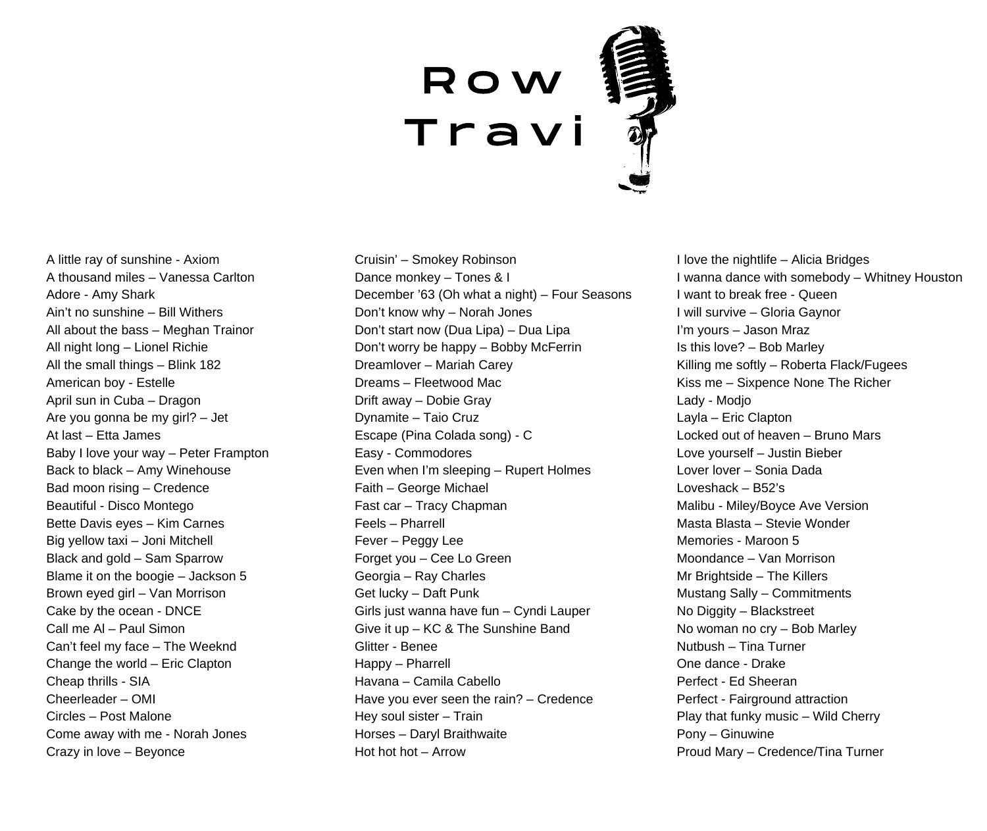## R o w **Travi**

A little ray of sunshine - Axiom A thousand miles – Vanessa Carlton Adore - Amy Shark Ain't no sunshine – Bill Withers All about the bass – Meghan Trainor All night long – Lionel Richie All the small things – Blink 182 American boy - Estelle April sun in Cuba – Dragon Are you gonna be my girl? – Jet At last – Etta James Baby I love your way – Peter Frampton Back to black – Amy Winehouse Bad moon rising – Credence Beautiful - Disco Montego Bette Davis eyes – Kim Carnes Big yellow taxi – Joni Mitchell Black and gold – Sam Sparrow Blame it on the boogie – Jackson 5 Brown eyed girl – Van Morrison Cake by the ocean - DNCE Call me Al – Paul Simon Can't feel my face – The Weeknd Change the world – Eric Clapton Cheap thrills - SIA Cheerleader – OMI Circles – Post Malone Come away with me - Norah Jones Crazy in love – Beyonce

Cruisin' – Smokey Robinson Dance monkey – Tones & I December '63 (Oh what a night) – Four Seasons Don't know why – Norah Jones Don't start now (Dua Lipa) – Dua Lipa Don't worry be happy – Bobby McFerrin Dreamlover – Mariah Carey Dreams – Fleetwood Mac Drift away – Dobie Gray Dynamite – Taio Cruz Escape (Pina Colada song) - C Easy - Commodores Even when I'm sleeping – Rupert Holmes Faith – George Michael Fast car – Tracy Chapman Feels – Pharrell Fever – Peggy Lee Forget you – Cee Lo Green Georgia – Ray Charles Get lucky – Daft Punk Girls just wanna have fun – Cyndi Lauper Give it up – KC & The Sunshine Band Glitter - Benee Happy – Pharrell Havana – Camila Cabello Have you ever seen the rain? – Credence Hey soul sister – Train Horses – Daryl Braithwaite Hot hot hot – Arrow

I love the nightlife – Alicia Bridges I wanna dance with somebody – Whitney Houston I want to break free - Queen I will survive – Gloria Gaynor I'm yours – Jason Mraz Is this love? – Bob Marley Killing me softly – Roberta Flack/Fugees Kiss me – Sixpence None The Richer Lady - Modjo Layla – Eric Clapton Locked out of heaven – Bruno Mars Love yourself – Justin Bieber Lover lover – Sonia Dada Loveshack – B52's Malibu - Miley/Boyce Ave Version Masta Blasta – Stevie Wonder Memories - Maroon 5 Moondance – Van Morrison Mr Brightside – The Killers Mustang Sally – Commitments No Diggity – Blackstreet No woman no cry – Bob Marley Nutbush – Tina Turner One dance - Drake Perfect - Ed Sheeran Perfect - Fairground attraction Play that funky music – Wild Cherry Pony – Ginuwine Proud Mary – Credence/Tina Turner